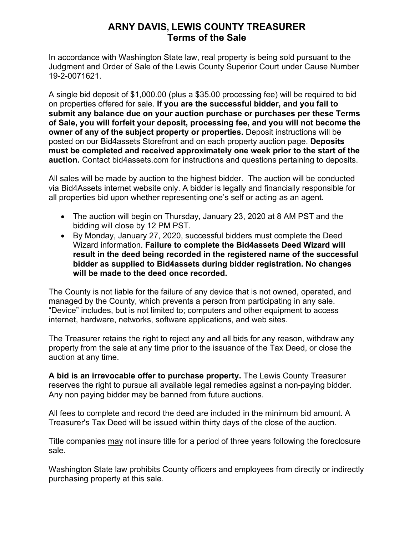# **ARNY DAVIS, LEWIS COUNTY TREASURER Terms of the Sale**

In accordance with Washington State law, real property is being sold pursuant to the Judgment and Order of Sale of the Lewis County Superior Court under Cause Number 19-2-0071621.

A single bid deposit of \$1,000.00 (plus a \$35.00 processing fee) will be required to bid on properties offered for sale. **If you are the successful bidder, and you fail to submit any balance due on your auction purchase or purchases per these Terms of Sale, you will forfeit your deposit, processing fee, and you will not become the owner of any of the subject property or properties.** Deposit instructions will be posted on our Bid4assets Storefront and on each property auction page. **Deposits must be completed and received approximately one week prior to the start of the auction.** Contact bid4assets.com for instructions and questions pertaining to deposits.

All sales will be made by auction to the highest bidder. The auction will be conducted via Bid4Assets internet website only. A bidder is legally and financially responsible for all properties bid upon whether representing one's self or acting as an agent.

- The auction will begin on Thursday, January 23, 2020 at 8 AM PST and the bidding will close by 12 PM PST.
- By Monday, January 27, 2020, successful bidders must complete the Deed Wizard information. **Failure to complete the Bid4assets Deed Wizard will result in the deed being recorded in the registered name of the successful bidder as supplied to Bid4assets during bidder registration. No changes will be made to the deed once recorded.**

The County is not liable for the failure of any device that is not owned, operated, and managed by the County, which prevents a person from participating in any sale. "Device" includes, but is not limited to; computers and other equipment to access internet, hardware, networks, software applications, and web sites.

The Treasurer retains the right to reject any and all bids for any reason, withdraw any property from the sale at any time prior to the issuance of the Tax Deed, or close the auction at any time.

**A bid is an irrevocable offer to purchase property.** The Lewis County Treasurer reserves the right to pursue all available legal remedies against a non-paying bidder. Any non paying bidder may be banned from future auctions.

All fees to complete and record the deed are included in the minimum bid amount. A Treasurer's Tax Deed will be issued within thirty days of the close of the auction.

Title companies may not insure title for a period of three years following the foreclosure sale.

Washington State law prohibits County officers and employees from directly or indirectly purchasing property at this sale.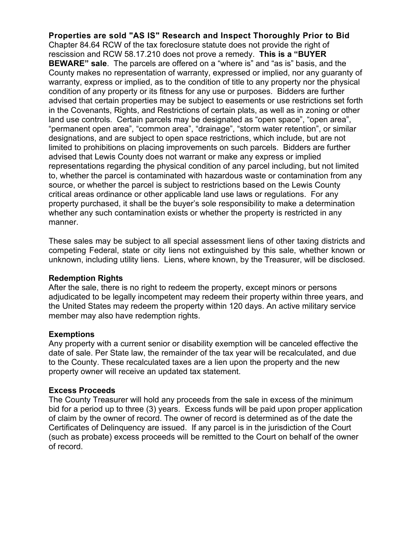**Properties are sold "AS IS" Research and Inspect Thoroughly Prior to Bid** Chapter 84.64 RCW of the tax foreclosure statute does not provide the right of rescission and RCW 58.17.210 does not prove a remedy. **This is a "BUYER BEWARE" sale**. The parcels are offered on a "where is" and "as is" basis, and the County makes no representation of warranty, expressed or implied, nor any guaranty of warranty, express or implied, as to the condition of title to any property nor the physical condition of any property or its fitness for any use or purposes. Bidders are further advised that certain properties may be subject to easements or use restrictions set forth in the Covenants, Rights, and Restrictions of certain plats, as well as in zoning or other land use controls. Certain parcels may be designated as "open space", "open area", "permanent open area", "common area", "drainage", "storm water retention", or similar designations, and are subject to open space restrictions, which include, but are not limited to prohibitions on placing improvements on such parcels. Bidders are further advised that Lewis County does not warrant or make any express or implied representations regarding the physical condition of any parcel including, but not limited to, whether the parcel is contaminated with hazardous waste or contamination from any source, or whether the parcel is subject to restrictions based on the Lewis County critical areas ordinance or other applicable land use laws or regulations. For any property purchased, it shall be the buyer's sole responsibility to make a determination whether any such contamination exists or whether the property is restricted in any manner.

These sales may be subject to all special assessment liens of other taxing districts and competing Federal, state or city liens not extinguished by this sale, whether known or unknown, including utility liens. Liens, where known, by the Treasurer, will be disclosed.

### **Redemption Rights**

After the sale, there is no right to redeem the property, except minors or persons adjudicated to be legally incompetent may redeem their property within three years, and the United States may redeem the property within 120 days. An active military service member may also have redemption rights.

### **Exemptions**

Any property with a current senior or disability exemption will be canceled effective the date of sale. Per State law, the remainder of the tax year will be recalculated, and due to the County. These recalculated taxes are a lien upon the property and the new property owner will receive an updated tax statement.

#### **Excess Proceeds**

The County Treasurer will hold any proceeds from the sale in excess of the minimum bid for a period up to three (3) years. Excess funds will be paid upon proper application of claim by the owner of record. The owner of record is determined as of the date the Certificates of Delinquency are issued. If any parcel is in the jurisdiction of the Court (such as probate) excess proceeds will be remitted to the Court on behalf of the owner of record.